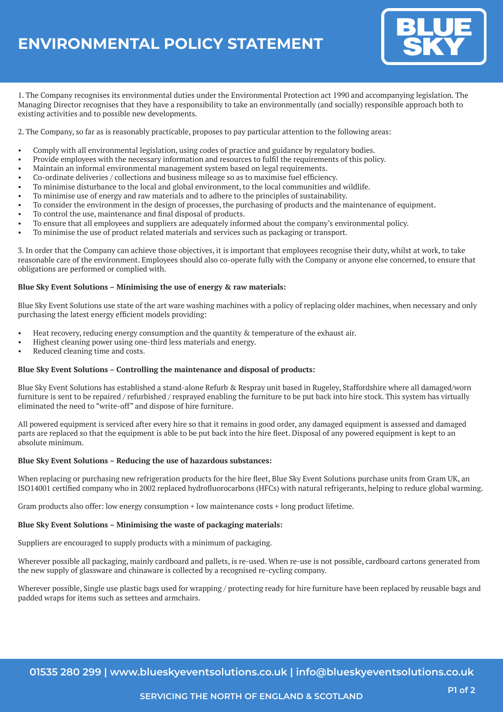# **ENVIRONMENTAL POLICY STATEMENT**



1. The Company recognises its environmental duties under the Environmental Protection act 1990 and accompanying legislation. The Managing Director recognises that they have a responsibility to take an environmentally (and socially) responsible approach both to existing activities and to possible new developments.

2. The Company, so far as is reasonably practicable, proposes to pay particular attention to the following areas:

- Comply with all environmental legislation, using codes of practice and guidance by regulatory bodies.
- Provide employees with the necessary information and resources to fulfil the requirements of this policy.
- Maintain an informal environmental management system based on legal requirements.
- Co-ordinate deliveries / collections and business mileage so as to maximise fuel efficiency.
- To minimise disturbance to the local and global environment, to the local communities and wildlife.
- To minimise use of energy and raw materials and to adhere to the principles of sustainability.
- To consider the environment in the design of processes, the purchasing of products and the maintenance of equipment.
- To control the use, maintenance and final disposal of products.
- To ensure that all employees and suppliers are adequately informed about the company's environmental policy.
- To minimise the use of product related materials and services such as packaging or transport.

3. In order that the Company can achieve those objectives, it is important that employees recognise their duty, whilst at work, to take reasonable care of the environment. Employees should also co-operate fully with the Company or anyone else concerned, to ensure that obligations are performed or complied with.

### **Blue Sky Event Solutions – Minimising the use of energy & raw materials:**

Blue Sky Event Solutions use state of the art ware washing machines with a policy of replacing older machines, when necessary and only purchasing the latest energy efficient models providing:

- Heat recovery, reducing energy consumption and the quantity & temperature of the exhaust air.
- Highest cleaning power using one-third less materials and energy.
- Reduced cleaning time and costs.

## **Blue Sky Event Solutions – Controlling the maintenance and disposal of products:**

Blue Sky Event Solutions has established a stand-alone Refurb & Respray unit based in Rugeley, Staffordshire where all damaged/worn furniture is sent to be repaired / refurbished / resprayed enabling the furniture to be put back into hire stock. This system has virtually eliminated the need to "write-off" and dispose of hire furniture.

All powered equipment is serviced after every hire so that it remains in good order, any damaged equipment is assessed and damaged parts are replaced so that the equipment is able to be put back into the hire fleet. Disposal of any powered equipment is kept to an absolute minimum.

#### **Blue Sky Event Solutions – Reducing the use of hazardous substances:**

When replacing or purchasing new refrigeration products for the hire fleet, Blue Sky Event Solutions purchase units from Gram UK, an ISO14001 certified company who in 2002 replaced hydrofluorocarbons (HFCs) with natural refrigerants, helping to reduce global warming.

Gram products also offer: low energy consumption + low maintenance costs + long product lifetime.

#### **Blue Sky Event Solutions – Minimising the waste of packaging materials:**

Suppliers are encouraged to supply products with a minimum of packaging.

Wherever possible all packaging, mainly cardboard and pallets, is re-used. When re-use is not possible, cardboard cartons generated from the new supply of glassware and chinaware is collected by a recognised re-cycling company.

Wherever possible, Single use plastic bags used for wrapping / protecting ready for hire furniture have been replaced by reusable bags and padded wraps for items such as settees and armchairs.

**01535 280 299 | www.blueskyeventsolutions.co.uk | info@blueskyeventsolutions.co.uk**